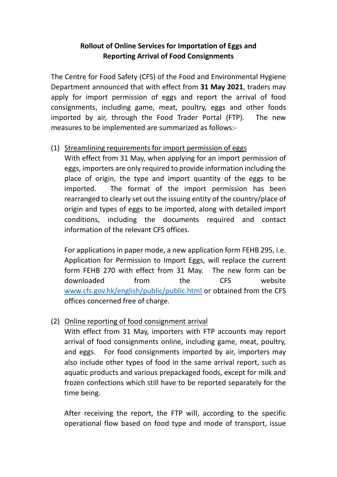## **Rollout of Online Services for Importation of Eggs and Reporting Arrival of Food Consignments**

The Centre for Food Safety (CFS) of the Food and Environmental Hygiene Department announced that with effect from **31 May 2021**, traders may apply for import permission of eggs and report the arrival of food consignments, including game, meat, poultry, eggs and other foods imported by air, through the Food Trader Portal (FTP). The new measures to be implemented are summarized as follows:-

## (1) Streamlining requirements for import permission of eggs

With effect from 31 May, when applying for an import permission of eggs, importers are only required to provide information including the place of origin, the type and import quantity of the eggs to be imported. The format of the import permission has been rearranged to clearly set out the issuing entity of the country/place of origin and types of eggs to be imported, along with detailed import conditions, including the documents required and contact information of the relevant CFS offices.

For applications in paper mode, a new application form FEHB 295, i.e. Application for Permission to Import Eggs, will replace the current form FEHB 270 with effect from 31 May. The new form can be downloaded from the CFS website [www.cfs.gov.hk/english/public/public.html](http://www.cfs.gov.hk/english/public/public.html) or obtained from the CFS offices concerned free of charge.

## (2) Online reporting of food consignment arrival

With effect from 31 May, importers with FTP accounts may report arrival of food consignments online, including game, meat, poultry, and eggs. For food consignments imported by air, importers may also include other types of food in the same arrival report, such as aquatic products and various prepackaged foods, except for milk and frozen confections which still have to be reported separately for the time being.

After receiving the report, the FTP will, according to the specific operational flow based on food type and mode of transport, issue